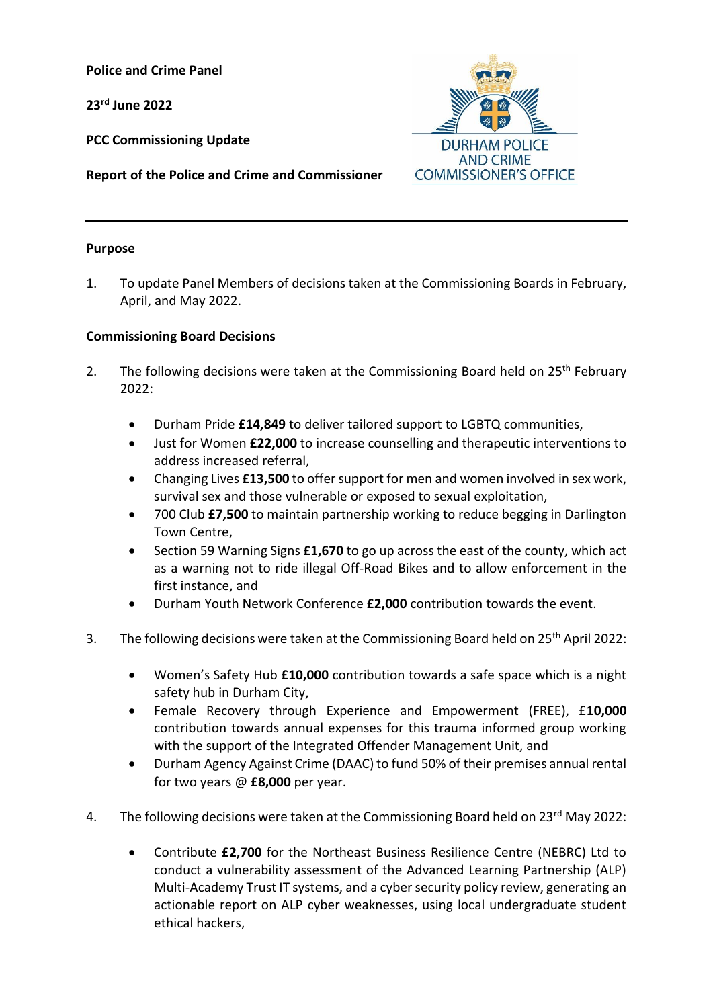**Police and Crime Panel**

**23 rd June 2022**

**PCC Commissioning Update**



**Report of the Police and Crime and Commissioner**

## **Purpose**

1. To update Panel Members of decisions taken at the Commissioning Boards in February, April, and May 2022.

## **Commissioning Board Decisions**

- 2. The following decisions were taken at the Commissioning Board held on  $25<sup>th</sup>$  February 2022:
	- Durham Pride **£14,849** to deliver tailored support to LGBTQ communities,
	- Just for Women **£22,000** to increase counselling and therapeutic interventions to address increased referral,
	- Changing Lives **£13,500** to offer support for men and women involved in sex work, survival sex and those vulnerable or exposed to sexual exploitation,
	- 700 Club **£7,500** to maintain partnership working to reduce begging in Darlington Town Centre,
	- Section 59 Warning Signs £1,670 to go up across the east of the county, which act as a warning not to ride illegal Off-Road Bikes and to allow enforcement in the first instance, and
	- Durham Youth Network Conference **£2,000** contribution towards the event.
- 3. The following decisions were taken at the Commissioning Board held on 25<sup>th</sup> April 2022:
	- Women's Safety Hub **£10,000** contribution towards a safe space which is a night safety hub in Durham City,
	- Female Recovery through Experience and Empowerment (FREE), £**10,000**  contribution towards annual expenses for this trauma informed group working with the support of the Integrated Offender Management Unit, and
	- Durham Agency Against Crime (DAAC) to fund 50% of their premises annual rental for two years @ **£8,000** per year.
- 4. The following decisions were taken at the Commissioning Board held on 23rd May 2022:
	- Contribute **£2,700** for the Northeast Business Resilience Centre (NEBRC) Ltd to conduct a vulnerability assessment of the Advanced Learning Partnership (ALP) Multi-Academy Trust IT systems, and a cyber security policy review, generating an actionable report on ALP cyber weaknesses, using local undergraduate student ethical hackers,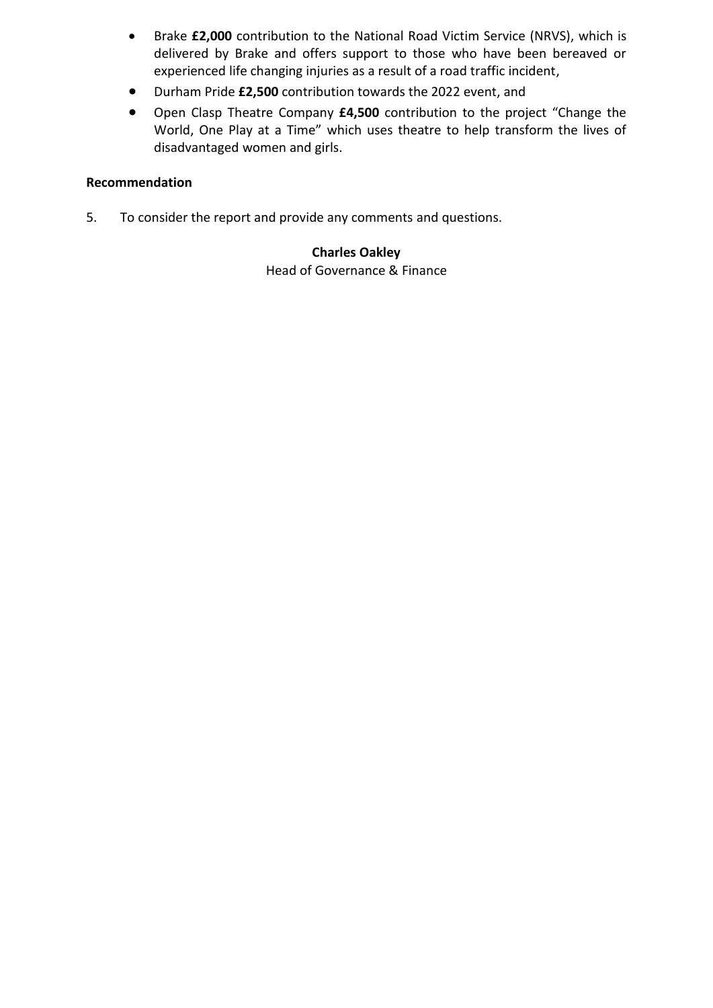- Brake **£2,000** contribution to the National Road Victim Service (NRVS), which is delivered by Brake and offers support to those who have been bereaved or experienced life changing injuries as a result of a road traffic incident,
- Durham Pride **£2,500** contribution towards the 2022 event, and
- [Open Clasp](https://www.openclasp.org.uk/about-us/) Theatre Company **£4,500** contribution to the project "Change the World, One Play at a Time" which uses theatre to help transform the lives of disadvantaged women and girls.

# **Recommendation**

5. To consider the report and provide any comments and questions.

## **Charles Oakley**

Head of Governance & Finance